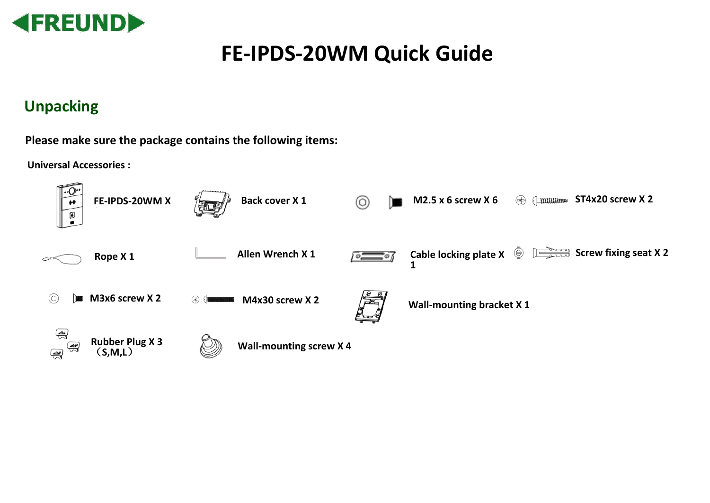

# **FE-IPDS-20WM Quick Guide**

### **Unpacking**

**Please make sure the package contains the following items:**

**Universal Accessories :**

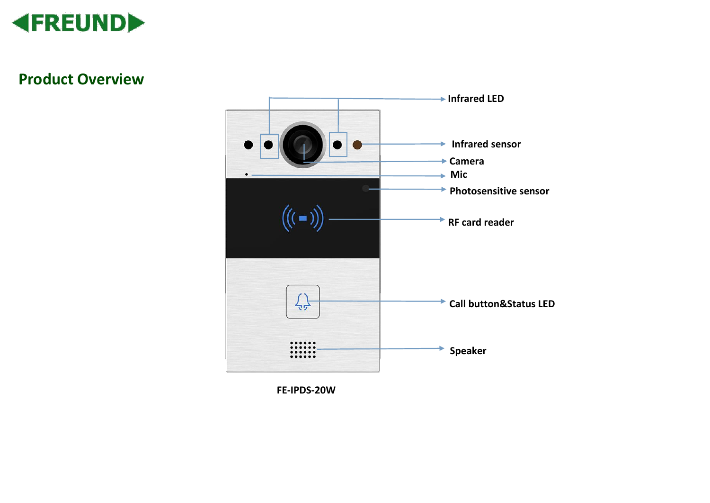

### **Product Overview**



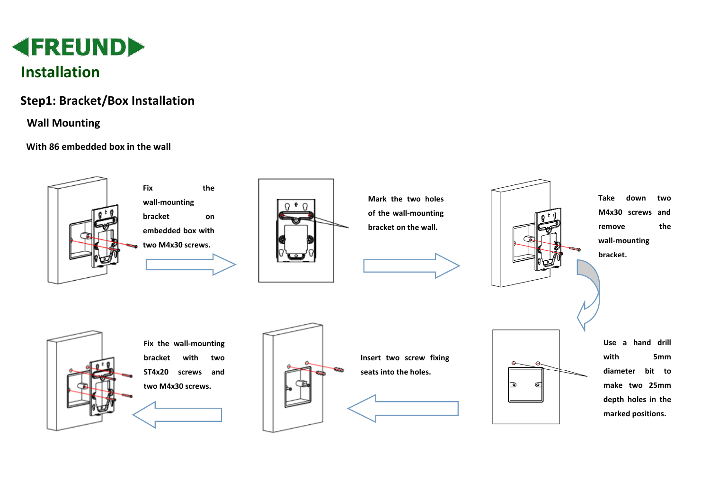

### **Step1: Bracket/Box Installation**

#### **Wall Mounting**

#### **With 86 embedded box in the wall**

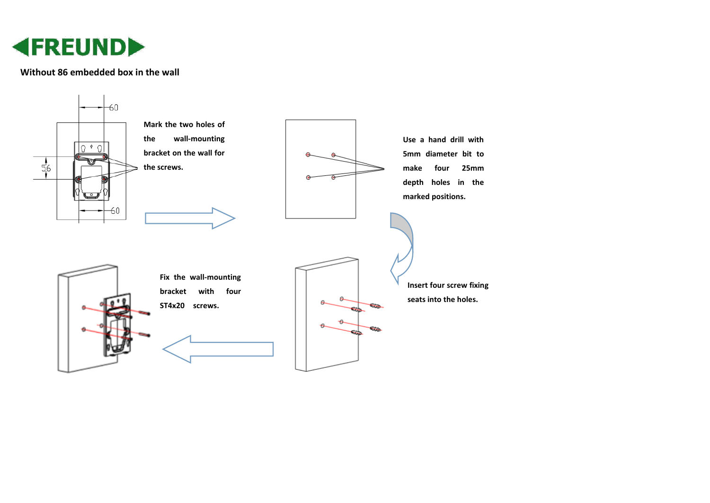

#### **Without 86 embedded box in the wall**

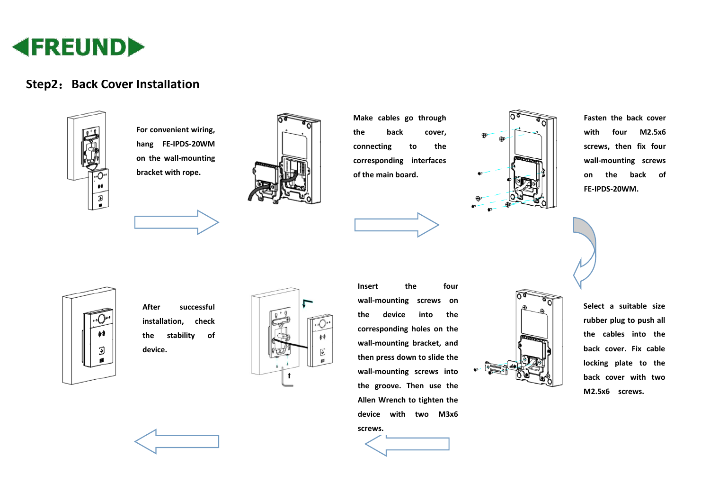

### **Step2: Back Cover Installation**



**For convenient wiring, hang FE-IPDS-20WM on the wall-mounting bracket with rope.**



**Make cables go through the back cover, connecting to the corresponding interfaces of the main board.** 



**Fasten the back cover with four M2.5x6 screws, then fix four wall-mounting screws on the back of FE-IPDS-20WM.**



**After successful installation, check the stability of device.**



**Insert the four wall-mounting screws on the device into the corresponding holes on the wall-mounting bracket, and then press down to slide the wall-mounting screws into the groove. Then use the Allen Wrench to tighten the device with two M3x6 screws.**



**Select a suitable size rubber plug to push all the cables into the back cover. Fix cable locking plate to the back cover with two M2.5x6 screws.**

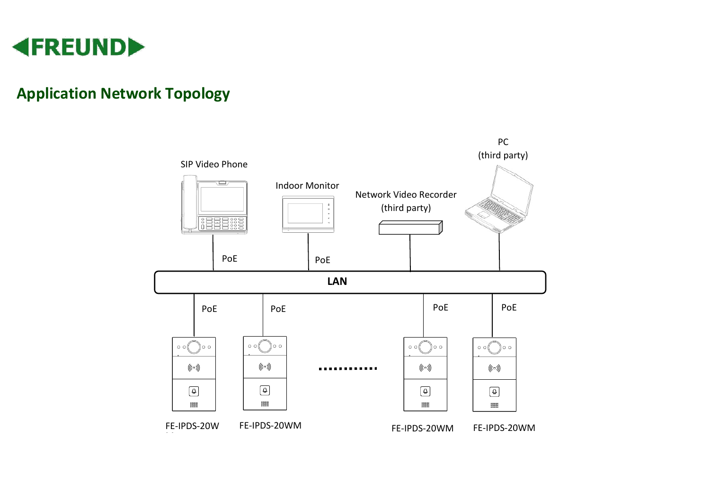

### **Application Network Topology**

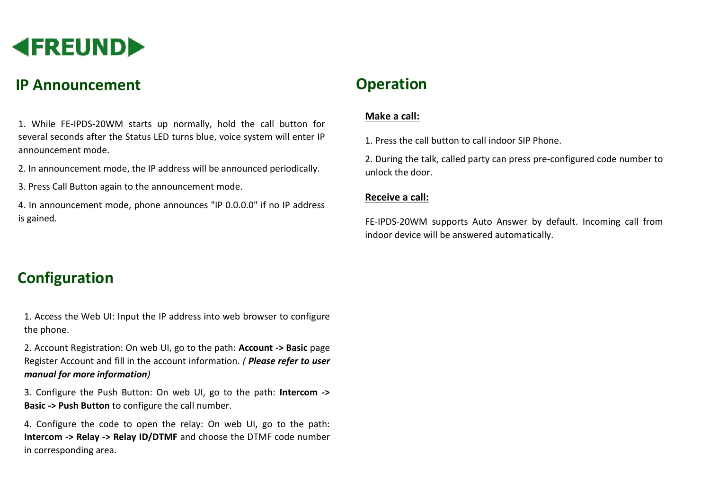

### **IP Announcement**

1. While FE-IPDS-20WM starts up normally, hold the call button for several seconds after the Status LED turns blue, voice system will enter IP announcement mode.

2. In announcement mode, the IP address will be announced periodically.

3. Press Call Button again to the announcement mode.

4. In announcement mode, phone announces "IP 0.0.0.0" if no IP address is gained.

### **Configuration**

1. Access the Web UI: Input the IP address into web browser to configure the phone.

2. Account Registration: On web UI, go to the path: **Account -> Basic** page Register Account and fill in the account information. *( Please refer to user manual for more information)*

3. Configure the Push Button: On web UI, go to the path: **Intercom -> Basic -> Push Button** to configure the call number.

4. Configure the code to open the relay: On web UI, go to the path: **Intercom -> Relay -> Relay ID/DTMF** and choose the DTMF code number in corresponding area.

## **Operation**

#### **Make a call:**

1. Press the call button to call indoor SIP Phone.

2. During the talk, called party can press pre-configured code number to unlock the door.

#### **Receive a call:**

FE-IPDS-20WM supports Auto Answer by default. Incoming call from indoor device will be answered automatically.